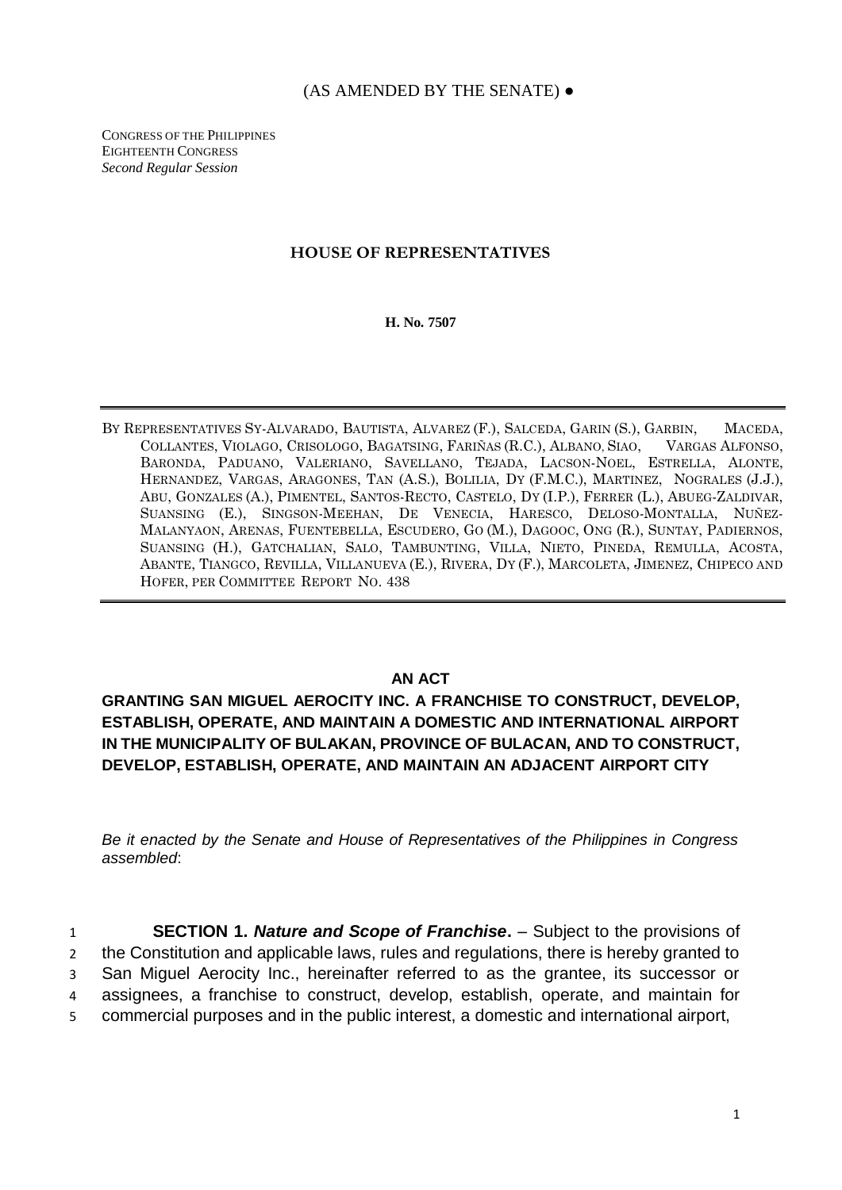## (AS AMENDED BY THE SENATE) ●

CONGRESS OF THE PHILIPPINES EIGHTEENTH CONGRESS *Second Regular Session*

## **HOUSE OF REPRESENTATIVES**

**H. No. 7507**

BY REPRESENTATIVES SY-ALVARADO, BAUTISTA, ALVAREZ (F.), SALCEDA, GARIN (S.), GARBIN, MACEDA, COLLANTES, VIOLAGO, CRISOLOGO, BAGATSING, FARIÑAS (R.C.), ALBANO, SIAO, VARGAS ALFONSO, BARONDA, PADUANO, VALERIANO, SAVELLANO, TEJADA, LACSON-NOEL, ESTRELLA, ALONTE, HERNANDEZ, VARGAS, ARAGONES, TAN (A.S.), BOLILIA, DY (F.M.C.), MARTINEZ, NOGRALES (J.J.), ABU, GONZALES (A.), PIMENTEL, SANTOS-RECTO, CASTELO, DY (I.P.), FERRER (L.), ABUEG-ZALDIVAR, SUANSING (E.), SINGSON-MEEHAN, DE VENECIA, HARESCO, DELOSO-MONTALLA, NUÑEZ-MALANYAON, ARENAS, FUENTEBELLA, ESCUDERO, GO (M.), DAGOOC, ONG (R.), SUNTAY, PADIERNOS, SUANSING (H.), GATCHALIAN, SALO, TAMBUNTING, VILLA, NIETO, PINEDA, REMULLA, ACOSTA, ABANTE, TIANGCO, REVILLA, VILLANUEVA (E.), RIVERA, DY (F.), MARCOLETA, JIMENEZ, CHIPECO AND HOFER, PER COMMITTEE REPORT NO. 438

## **AN ACT**

**GRANTING SAN MIGUEL AEROCITY INC. A FRANCHISE TO CONSTRUCT, DEVELOP, ESTABLISH, OPERATE, AND MAINTAIN A DOMESTIC AND INTERNATIONAL AIRPORT IN THE MUNICIPALITY OF BULAKAN, PROVINCE OF BULACAN, AND TO CONSTRUCT, DEVELOP, ESTABLISH, OPERATE, AND MAINTAIN AN ADJACENT AIRPORT CITY**

*Be it enacted by the Senate and House of Representatives of the Philippines in Congress assembled*:

 **SECTION 1.** *Nature and Scope of Franchise***.** – Subject to the provisions of the Constitution and applicable laws, rules and regulations, there is hereby granted to San Miguel Aerocity Inc., hereinafter referred to as the grantee, its successor or assignees, a franchise to construct, develop, establish, operate, and maintain for commercial purposes and in the public interest, a domestic and international airport,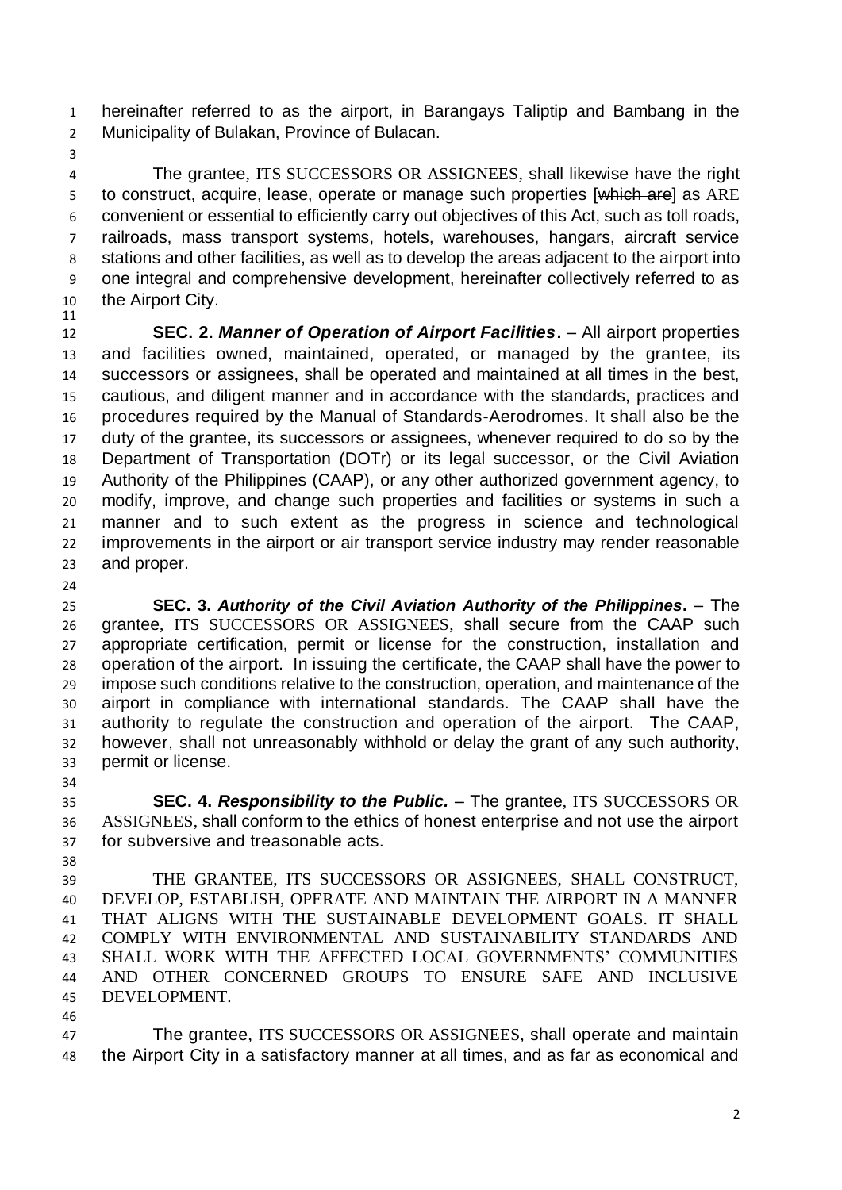hereinafter referred to as the airport, in Barangays Taliptip and Bambang in the Municipality of Bulakan, Province of Bulacan.

 The grantee, ITS SUCCESSORS OR ASSIGNEES, shall likewise have the right 5 to construct, acquire, lease, operate or manage such properties [which are] as ARE convenient or essential to efficiently carry out objectives of this Act, such as toll roads, railroads, mass transport systems, hotels, warehouses, hangars, aircraft service stations and other facilities, as well as to develop the areas adjacent to the airport into one integral and comprehensive development, hereinafter collectively referred to as the Airport City.

 **SEC. 2.** *Manner of Operation of Airport Facilities***.** – All airport properties and facilities owned, maintained, operated, or managed by the grantee, its successors or assignees, shall be operated and maintained at all times in the best, cautious, and diligent manner and in accordance with the standards, practices and procedures required by the Manual of Standards-Aerodromes. It shall also be the duty of the grantee, its successors or assignees, whenever required to do so by the Department of Transportation (DOTr) or its legal successor, or the Civil Aviation Authority of the Philippines (CAAP), or any other authorized government agency, to modify, improve, and change such properties and facilities or systems in such a manner and to such extent as the progress in science and technological improvements in the airport or air transport service industry may render reasonable and proper.

 **SEC. 3.** *Authority of the Civil Aviation Authority of the Philippines***.** – The grantee, ITS SUCCESSORS OR ASSIGNEES, shall secure from the CAAP such appropriate certification, permit or license for the construction, installation and operation of the airport. In issuing the certificate, the CAAP shall have the power to impose such conditions relative to the construction, operation, and maintenance of the airport in compliance with international standards. The CAAP shall have the authority to regulate the construction and operation of the airport. The CAAP, however, shall not unreasonably withhold or delay the grant of any such authority, permit or license.

 **SEC. 4.** *Responsibility to the Public.* – The grantee, ITS SUCCESSORS OR ASSIGNEES, shall conform to the ethics of honest enterprise and not use the airport for subversive and treasonable acts.

 THE GRANTEE, ITS SUCCESSORS OR ASSIGNEES, SHALL CONSTRUCT, DEVELOP, ESTABLISH, OPERATE AND MAINTAIN THE AIRPORT IN A MANNER THAT ALIGNS WITH THE SUSTAINABLE DEVELOPMENT GOALS. IT SHALL COMPLY WITH ENVIRONMENTAL AND SUSTAINABILITY STANDARDS AND SHALL WORK WITH THE AFFECTED LOCAL GOVERNMENTS' COMMUNITIES AND OTHER CONCERNED GROUPS TO ENSURE SAFE AND INCLUSIVE DEVELOPMENT.

 The grantee, ITS SUCCESSORS OR ASSIGNEES, shall operate and maintain the Airport City in a satisfactory manner at all times, and as far as economical and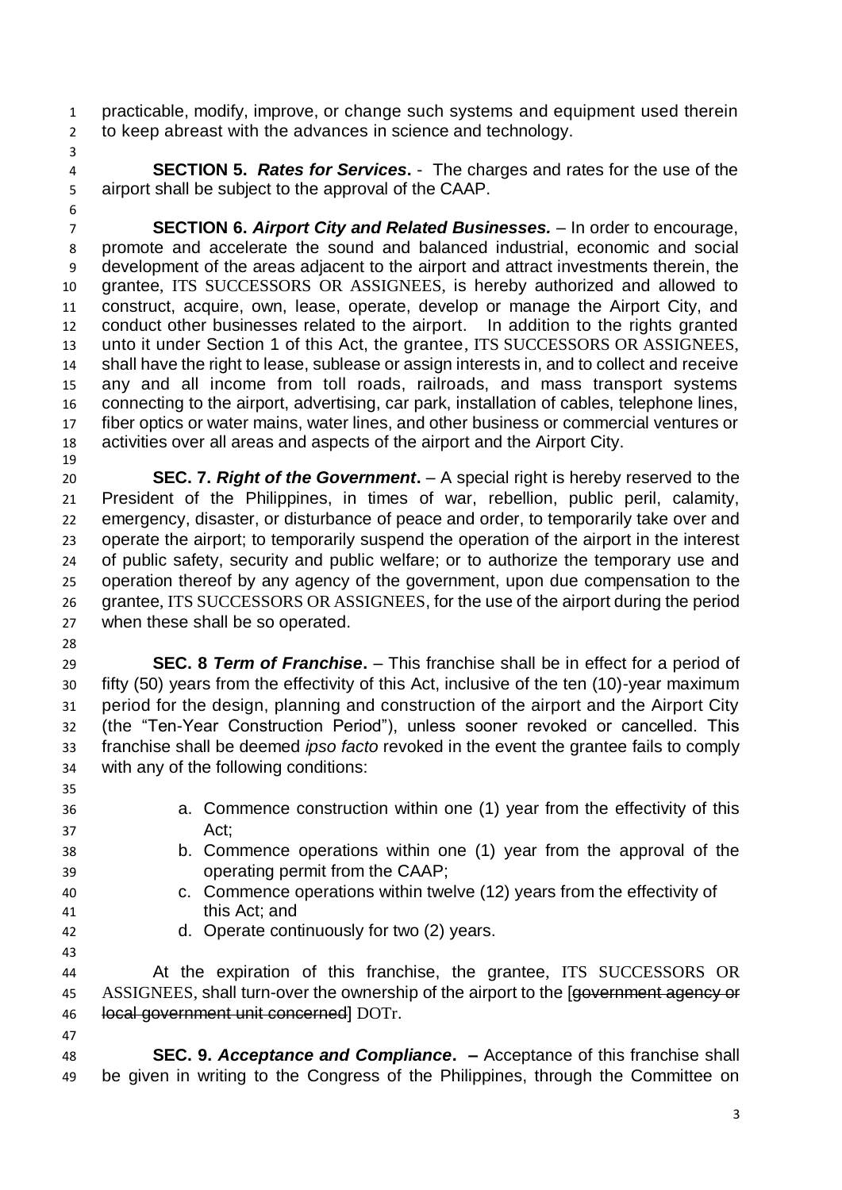practicable, modify, improve, or change such systems and equipment used therein to keep abreast with the advances in science and technology.

 **SECTION 5.** *Rates for Services***.** - The charges and rates for the use of the airport shall be subject to the approval of the CAAP.

 **SECTION 6.** *Airport City and Related Businesses.* – In order to encourage, promote and accelerate the sound and balanced industrial, economic and social development of the areas adjacent to the airport and attract investments therein, the grantee, ITS SUCCESSORS OR ASSIGNEES, is hereby authorized and allowed to construct, acquire, own, lease, operate, develop or manage the Airport City, and conduct other businesses related to the airport. In addition to the rights granted unto it under Section 1 of this Act, the grantee, ITS SUCCESSORS OR ASSIGNEES, shall have the right to lease, sublease or assign interests in, and to collect and receive any and all income from toll roads, railroads, and mass transport systems connecting to the airport, advertising, car park, installation of cables, telephone lines, fiber optics or water mains, water lines, and other business or commercial ventures or activities over all areas and aspects of the airport and the Airport City. 

 **SEC. 7.** *Right of the Government***.** – A special right is hereby reserved to the President of the Philippines, in times of war, rebellion, public peril, calamity, emergency, disaster, or disturbance of peace and order, to temporarily take over and operate the airport; to temporarily suspend the operation of the airport in the interest of public safety, security and public welfare; or to authorize the temporary use and operation thereof by any agency of the government, upon due compensation to the grantee, ITS SUCCESSORS OR ASSIGNEES, for the use of the airport during the period when these shall be so operated.

 **SEC. 8** *Term of Franchise***.** – This franchise shall be in effect for a period of fifty (50) years from the effectivity of this Act, inclusive of the ten (10)-year maximum period for the design, planning and construction of the airport and the Airport City (the "Ten-Year Construction Period"), unless sooner revoked or cancelled. This franchise shall be deemed *ipso facto* revoked in the event the grantee fails to comply with any of the following conditions:

- a. Commence construction within one (1) year from the effectivity of this Act;
- b. Commence operations within one (1) year from the approval of the operating permit from the CAAP;
- c. Commence operations within twelve (12) years from the effectivity of this Act; and
- 

d. Operate continuously for two (2) years.

 At the expiration of this franchise, the grantee, ITS SUCCESSORS OR 45 ASSIGNEES, shall turn-over the ownership of the airport to the [government agency or local government unit concerned] DOTr.

 **SEC. 9.** *Acceptance and Compliance***. –** Acceptance of this franchise shall be given in writing to the Congress of the Philippines, through the Committee on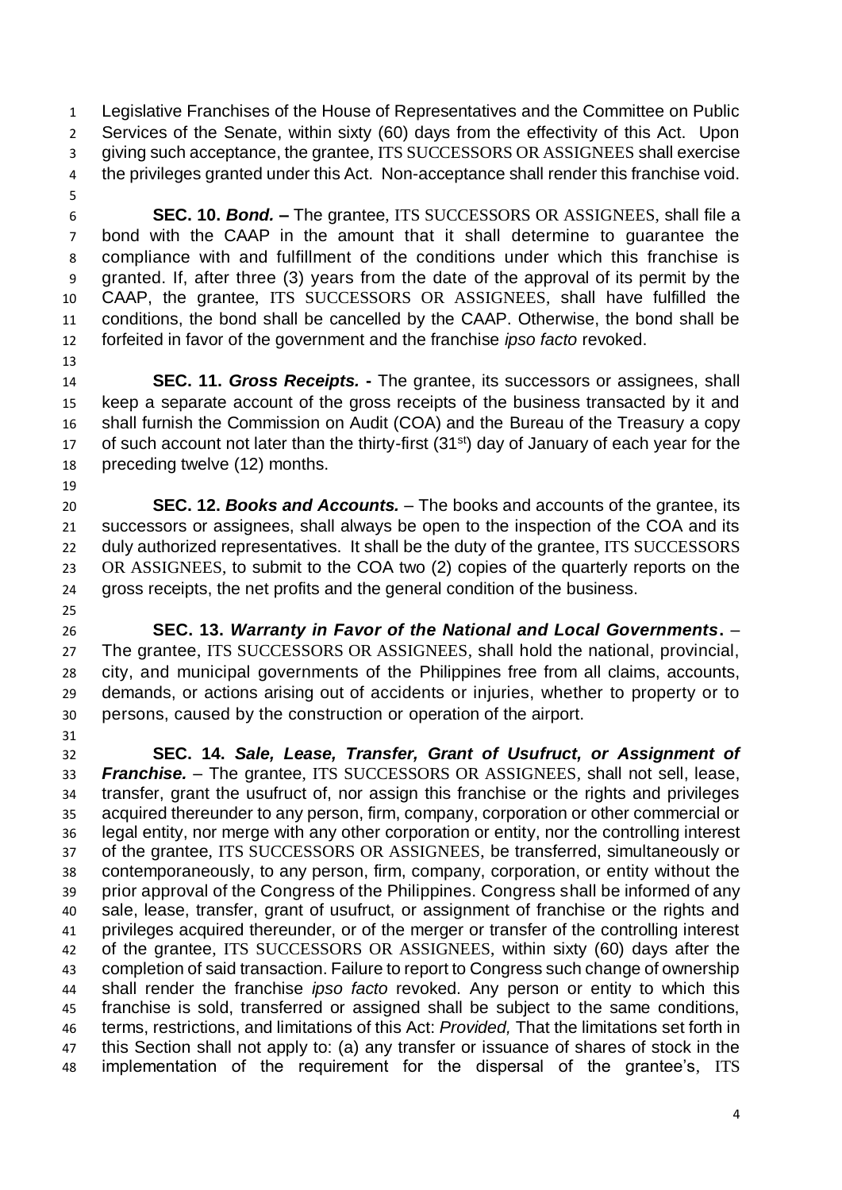Legislative Franchises of the House of Representatives and the Committee on Public Services of the Senate, within sixty (60) days from the effectivity of this Act. Upon giving such acceptance, the grantee, ITS SUCCESSORS OR ASSIGNEES shall exercise the privileges granted under this Act. Non-acceptance shall render this franchise void.

 **SEC. 10.** *Bond.* **–** The grantee, ITS SUCCESSORS OR ASSIGNEES, shall file a bond with the CAAP in the amount that it shall determine to guarantee the compliance with and fulfillment of the conditions under which this franchise is granted. If, after three (3) years from the date of the approval of its permit by the CAAP, the grantee, ITS SUCCESSORS OR ASSIGNEES, shall have fulfilled the conditions, the bond shall be cancelled by the CAAP. Otherwise, the bond shall be forfeited in favor of the government and the franchise *ipso facto* revoked. 

 **SEC. 11.** *Gross Receipts.* **-** The grantee, its successors or assignees, shall keep a separate account of the gross receipts of the business transacted by it and shall furnish the Commission on Audit (COA) and the Bureau of the Treasury a copy 17 of such account not later than the thirty-first  $(31<sup>st</sup>)$  day of January of each year for the preceding twelve (12) months.

 **SEC. 12.** *Books and Accounts.* – The books and accounts of the grantee, its successors or assignees, shall always be open to the inspection of the COA and its 22 duly authorized representatives. It shall be the duty of the grantee, ITS SUCCESSORS OR ASSIGNEES, to submit to the COA two (2) copies of the quarterly reports on the gross receipts, the net profits and the general condition of the business. 

- **SEC. 13.** *Warranty in Favor of the National and Local Governments***.**  The grantee, ITS SUCCESSORS OR ASSIGNEES, shall hold the national, provincial, city, and municipal governments of the Philippines free from all claims, accounts, demands, or actions arising out of accidents or injuries, whether to property or to persons, caused by the construction or operation of the airport.
- 

 **SEC. 14.** *Sale, Lease, Transfer, Grant of Usufruct, or Assignment of Franchise. –* The grantee, ITS SUCCESSORS OR ASSIGNEES, shall not sell, lease, transfer, grant the usufruct of, nor assign this franchise or the rights and privileges acquired thereunder to any person, firm, company, corporation or other commercial or legal entity, nor merge with any other corporation or entity, nor the controlling interest of the grantee, ITS SUCCESSORS OR ASSIGNEES, be transferred, simultaneously or contemporaneously, to any person, firm, company, corporation, or entity without the prior approval of the Congress of the Philippines. Congress shall be informed of any sale, lease, transfer, grant of usufruct, or assignment of franchise or the rights and privileges acquired thereunder, or of the merger or transfer of the controlling interest of the grantee, ITS SUCCESSORS OR ASSIGNEES, within sixty (60) days after the completion of said transaction. Failure to report to Congress such change of ownership shall render the franchise *ipso facto* revoked. Any person or entity to which this franchise is sold, transferred or assigned shall be subject to the same conditions, terms, restrictions, and limitations of this Act: *Provided,* That the limitations set forth in this Section shall not apply to: (a) any transfer or issuance of shares of stock in the implementation of the requirement for the dispersal of the grantee's, ITS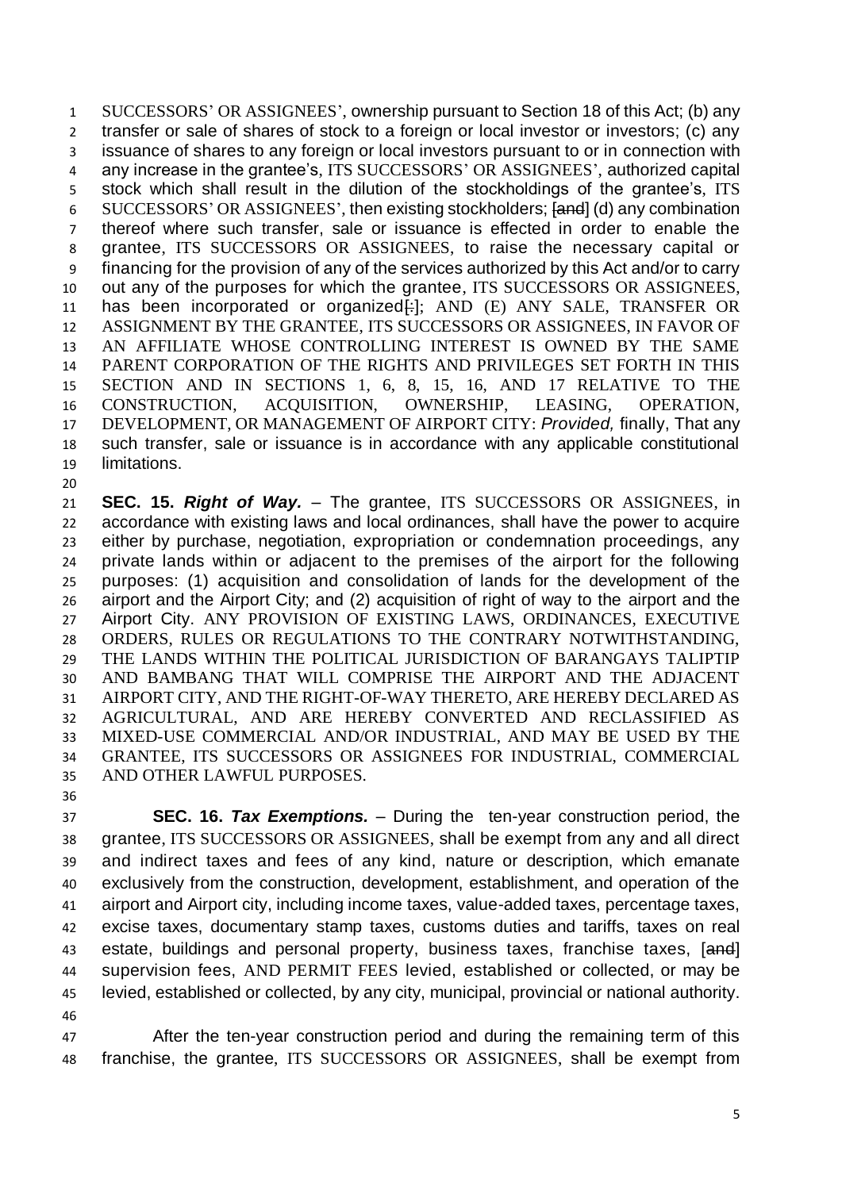SUCCESSORS' OR ASSIGNEES', ownership pursuant to Section 18 of this Act; (b) any transfer or sale of shares of stock to a foreign or local investor or investors; (c) any issuance of shares to any foreign or local investors pursuant to or in connection with any increase in the grantee's, ITS SUCCESSORS' OR ASSIGNEES', authorized capital stock which shall result in the dilution of the stockholdings of the grantee's, ITS SUCCESSORS' OR ASSIGNEES', then existing stockholders; [and] (d) any combination thereof where such transfer, sale or issuance is effected in order to enable the grantee, ITS SUCCESSORS OR ASSIGNEES, to raise the necessary capital or financing for the provision of any of the services authorized by this Act and/or to carry out any of the purposes for which the grantee, ITS SUCCESSORS OR ASSIGNEES, 11 has been incorporated or organized<del>[:</del>]; AND (E) ANY SALE, TRANSFER OR ASSIGNMENT BY THE GRANTEE, ITS SUCCESSORS OR ASSIGNEES, IN FAVOR OF AN AFFILIATE WHOSE CONTROLLING INTEREST IS OWNED BY THE SAME PARENT CORPORATION OF THE RIGHTS AND PRIVILEGES SET FORTH IN THIS SECTION AND IN SECTIONS 1, 6, 8, 15, 16, AND 17 RELATIVE TO THE CONSTRUCTION, ACQUISITION, OWNERSHIP, LEASING, OPERATION, DEVELOPMENT, OR MANAGEMENT OF AIRPORT CITY: *Provided,* finally, That any such transfer, sale or issuance is in accordance with any applicable constitutional limitations.

 **SEC. 15.** *Right of Way.* – The grantee, ITS SUCCESSORS OR ASSIGNEES, in accordance with existing laws and local ordinances, shall have the power to acquire either by purchase, negotiation, expropriation or condemnation proceedings, any private lands within or adjacent to the premises of the airport for the following purposes: (1) acquisition and consolidation of lands for the development of the airport and the Airport City; and (2) acquisition of right of way to the airport and the Airport City. ANY PROVISION OF EXISTING LAWS, ORDINANCES, EXECUTIVE ORDERS, RULES OR REGULATIONS TO THE CONTRARY NOTWITHSTANDING, THE LANDS WITHIN THE POLITICAL JURISDICTION OF BARANGAYS TALIPTIP AND BAMBANG THAT WILL COMPRISE THE AIRPORT AND THE ADJACENT AIRPORT CITY, AND THE RIGHT-OF-WAY THERETO, ARE HEREBY DECLARED AS AGRICULTURAL, AND ARE HEREBY CONVERTED AND RECLASSIFIED AS MIXED-USE COMMERCIAL AND/OR INDUSTRIAL, AND MAY BE USED BY THE GRANTEE, ITS SUCCESSORS OR ASSIGNEES FOR INDUSTRIAL, COMMERCIAL AND OTHER LAWFUL PURPOSES.

 **SEC. 16.** *Tax Exemptions. –* During the ten-year construction period, the grantee, ITS SUCCESSORS OR ASSIGNEES, shall be exempt from any and all direct and indirect taxes and fees of any kind, nature or description, which emanate exclusively from the construction, development, establishment, and operation of the airport and Airport city, including income taxes, value-added taxes, percentage taxes, excise taxes, documentary stamp taxes, customs duties and tariffs, taxes on real 43 estate, buildings and personal property, business taxes, franchise taxes, [and] supervision fees, AND PERMIT FEES levied, established or collected, or may be levied, established or collected, by any city, municipal, provincial or national authority. 

 After the ten-year construction period and during the remaining term of this franchise, the grantee, ITS SUCCESSORS OR ASSIGNEES, shall be exempt from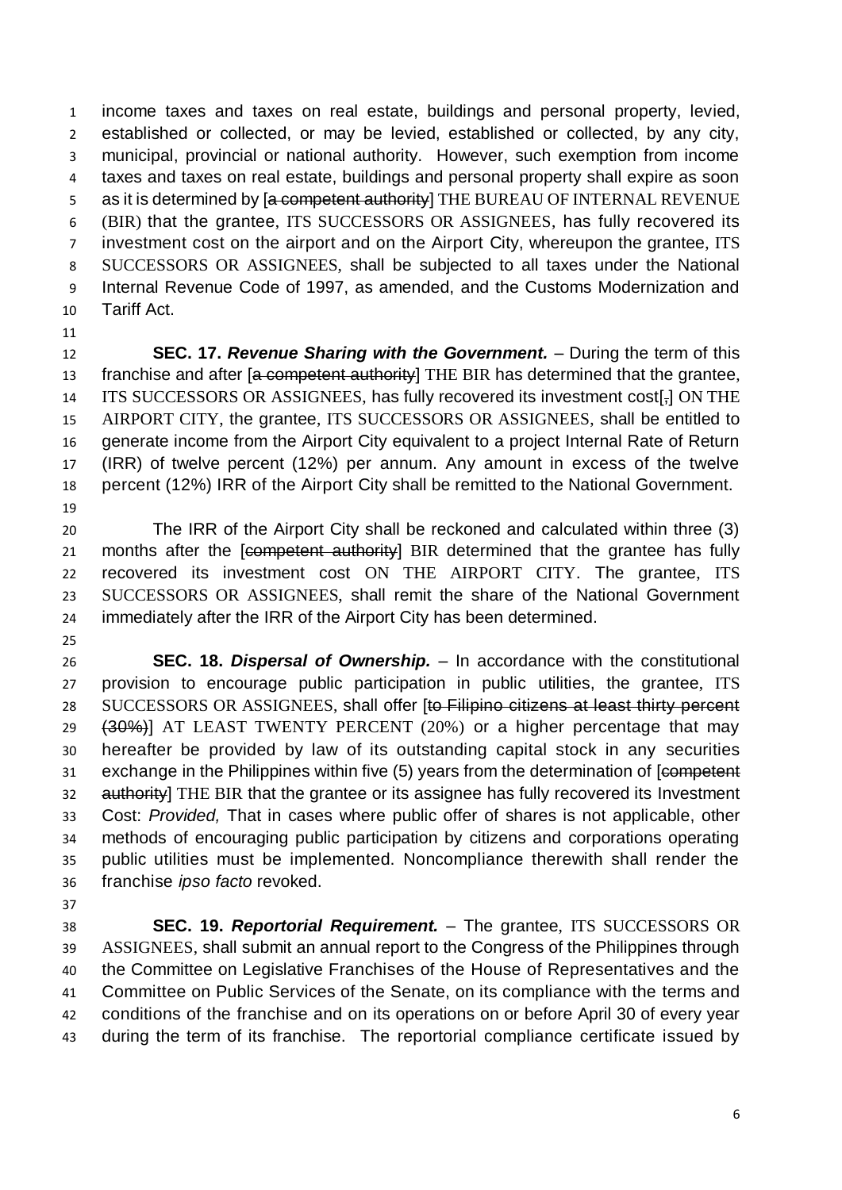income taxes and taxes on real estate, buildings and personal property, levied, established or collected, or may be levied, established or collected, by any city, municipal, provincial or national authority. However, such exemption from income taxes and taxes on real estate, buildings and personal property shall expire as soon 5 as it is determined by [a competent authority] THE BUREAU OF INTERNAL REVENUE (BIR) that the grantee, ITS SUCCESSORS OR ASSIGNEES, has fully recovered its investment cost on the airport and on the Airport City, whereupon the grantee, ITS SUCCESSORS OR ASSIGNEES, shall be subjected to all taxes under the National Internal Revenue Code of 1997, as amended, and the Customs Modernization and Tariff Act.

 **SEC. 17.** *Revenue Sharing with the Government.* – During the term of this 13 franchise and after [a competent authority] THE BIR has determined that the grantee, 14 ITS SUCCESSORS OR ASSIGNEES, has fully recovered its investment cost[-] ON THE AIRPORT CITY, the grantee, ITS SUCCESSORS OR ASSIGNEES, shall be entitled to generate income from the Airport City equivalent to a project Internal Rate of Return (IRR) of twelve percent (12%) per annum. Any amount in excess of the twelve percent (12%) IRR of the Airport City shall be remitted to the National Government. 

 The IRR of the Airport City shall be reckoned and calculated within three (3) 21 months after the [competent authority] BIR determined that the grantee has fully recovered its investment cost ON THE AIRPORT CITY. The grantee, ITS SUCCESSORS OR ASSIGNEES, shall remit the share of the National Government immediately after the IRR of the Airport City has been determined.

 **SEC. 18.** *Dispersal of Ownership.* – In accordance with the constitutional provision to encourage public participation in public utilities, the grantee, ITS 28 SUCCESSORS OR ASSIGNEES, shall offer [to Filipino citizens at least thirty percent 29 (30%)] AT LEAST TWENTY PERCENT (20%) or a higher percentage that may hereafter be provided by law of its outstanding capital stock in any securities 31 exchange in the Philippines within five (5) years from the determination of [competent] 32 authority] THE BIR that the grantee or its assignee has fully recovered its Investment Cost: *Provided,* That in cases where public offer of shares is not applicable, other methods of encouraging public participation by citizens and corporations operating public utilities must be implemented. Noncompliance therewith shall render the franchise *ipso facto* revoked.

 **SEC. 19.** *Reportorial Requirement. –* The grantee, ITS SUCCESSORS OR ASSIGNEES, shall submit an annual report to the Congress of the Philippines through the Committee on Legislative Franchises of the House of Representatives and the Committee on Public Services of the Senate, on its compliance with the terms and conditions of the franchise and on its operations on or before April 30 of every year during the term of its franchise. The reportorial compliance certificate issued by